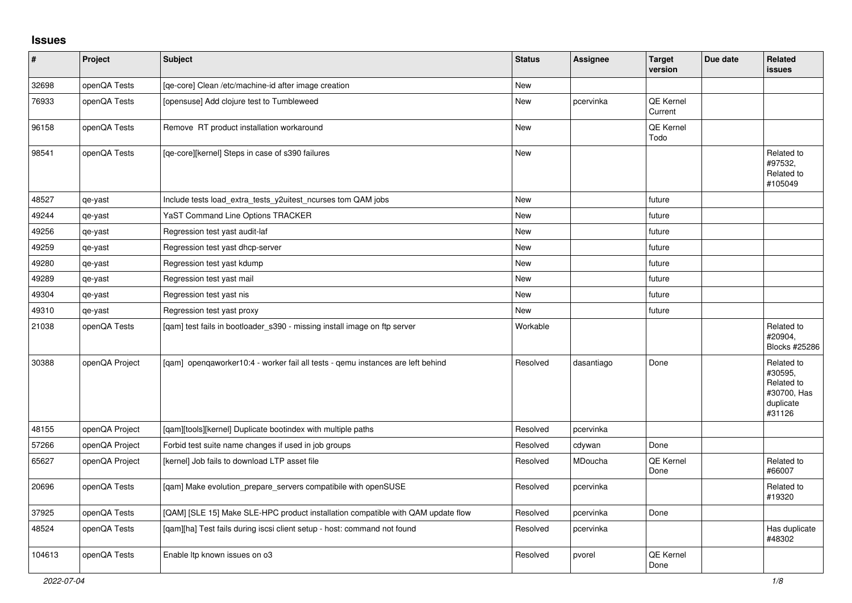## **Issues**

| $\vert$ # | Project        | <b>Subject</b>                                                                   | <b>Status</b> | <b>Assignee</b> | <b>Target</b><br>version | Due date | <b>Related</b><br>issues                                                  |
|-----------|----------------|----------------------------------------------------------------------------------|---------------|-----------------|--------------------------|----------|---------------------------------------------------------------------------|
| 32698     | openQA Tests   | [qe-core] Clean /etc/machine-id after image creation                             | New           |                 |                          |          |                                                                           |
| 76933     | openQA Tests   | [opensuse] Add clojure test to Tumbleweed                                        | New           | pcervinka       | QE Kernel<br>Current     |          |                                                                           |
| 96158     | openQA Tests   | Remove RT product installation workaround                                        | New           |                 | QE Kernel<br>Todo        |          |                                                                           |
| 98541     | openQA Tests   | [qe-core][kernel] Steps in case of s390 failures                                 | New           |                 |                          |          | Related to<br>#97532,<br>Related to<br>#105049                            |
| 48527     | qe-yast        | Include tests load_extra_tests_y2uitest_ncurses tom QAM jobs                     | <b>New</b>    |                 | future                   |          |                                                                           |
| 49244     | qe-yast        | YaST Command Line Options TRACKER                                                | <b>New</b>    |                 | future                   |          |                                                                           |
| 49256     | qe-yast        | Regression test yast audit-laf                                                   | New           |                 | future                   |          |                                                                           |
| 49259     | qe-yast        | Regression test yast dhcp-server                                                 | New           |                 | future                   |          |                                                                           |
| 49280     | qe-yast        | Regression test yast kdump                                                       | New           |                 | future                   |          |                                                                           |
| 49289     | qe-yast        | Regression test yast mail                                                        | New           |                 | future                   |          |                                                                           |
| 49304     | qe-yast        | Regression test yast nis                                                         | New           |                 | future                   |          |                                                                           |
| 49310     | qe-yast        | Regression test yast proxy                                                       | New           |                 | future                   |          |                                                                           |
| 21038     | openQA Tests   | [qam] test fails in bootloader_s390 - missing install image on ftp server        | Workable      |                 |                          |          | Related to<br>#20904,<br>Blocks #25286                                    |
| 30388     | openQA Project | [gam] opengaworker10:4 - worker fail all tests - gemu instances are left behind  | Resolved      | dasantiago      | Done                     |          | Related to<br>#30595.<br>Related to<br>#30700, Has<br>duplicate<br>#31126 |
| 48155     | openQA Project | [qam][tools][kernel] Duplicate bootindex with multiple paths                     | Resolved      | pcervinka       |                          |          |                                                                           |
| 57266     | openQA Project | Forbid test suite name changes if used in job groups                             | Resolved      | cdywan          | Done                     |          |                                                                           |
| 65627     | openQA Project | [kernel] Job fails to download LTP asset file                                    | Resolved      | MDoucha         | QE Kernel<br>Done        |          | Related to<br>#66007                                                      |
| 20696     | openQA Tests   | [gam] Make evolution prepare servers compatibile with openSUSE                   | Resolved      | pcervinka       |                          |          | Related to<br>#19320                                                      |
| 37925     | openQA Tests   | [QAM] [SLE 15] Make SLE-HPC product installation compatible with QAM update flow | Resolved      | pcervinka       | Done                     |          |                                                                           |
| 48524     | openQA Tests   | [qam][ha] Test fails during iscsi client setup - host: command not found         | Resolved      | pcervinka       |                          |          | Has duplicate<br>#48302                                                   |
| 104613    | openQA Tests   | Enable Itp known issues on o3                                                    | Resolved      | pvorel          | QE Kernel<br>Done        |          |                                                                           |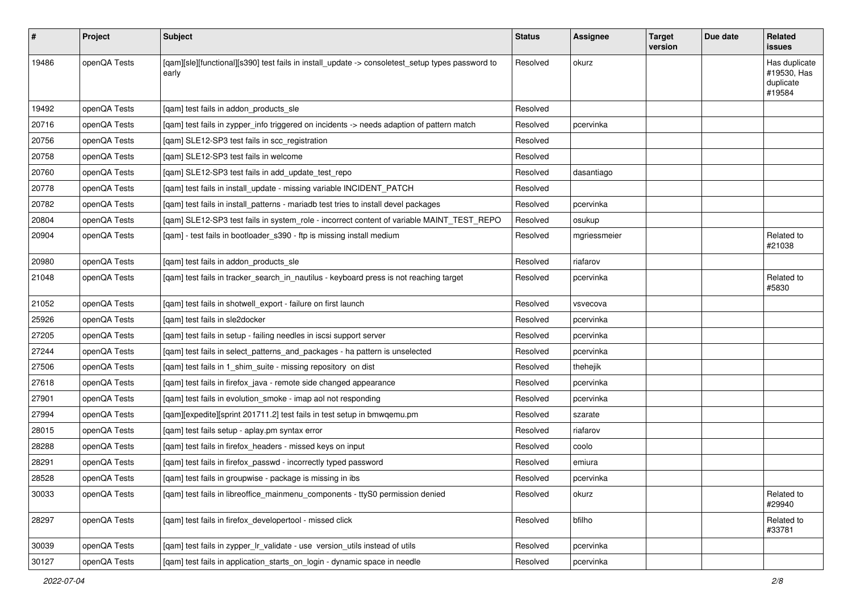| $\sharp$ | <b>Project</b> | Subject                                                                                                   | <b>Status</b> | <b>Assignee</b> | <b>Target</b><br>version | Due date | Related<br>issues                                   |
|----------|----------------|-----------------------------------------------------------------------------------------------------------|---------------|-----------------|--------------------------|----------|-----------------------------------------------------|
| 19486    | openQA Tests   | [qam][sle][functional][s390] test fails in install_update -> consoletest_setup types password to<br>early | Resolved      | okurz           |                          |          | Has duplicate<br>#19530, Has<br>duplicate<br>#19584 |
| 19492    | openQA Tests   | [gam] test fails in addon products sle                                                                    | Resolved      |                 |                          |          |                                                     |
| 20716    | openQA Tests   | [qam] test fails in zypper_info triggered on incidents -> needs adaption of pattern match                 | Resolved      | pcervinka       |                          |          |                                                     |
| 20756    | openQA Tests   | [qam] SLE12-SP3 test fails in scc_registration                                                            | Resolved      |                 |                          |          |                                                     |
| 20758    | openQA Tests   | [gam] SLE12-SP3 test fails in welcome                                                                     | Resolved      |                 |                          |          |                                                     |
| 20760    | openQA Tests   | [qam] SLE12-SP3 test fails in add_update_test_repo                                                        | Resolved      | dasantiago      |                          |          |                                                     |
| 20778    | openQA Tests   | [qam] test fails in install_update - missing variable INCIDENT_PATCH                                      | Resolved      |                 |                          |          |                                                     |
| 20782    | openQA Tests   | [qam] test fails in install_patterns - mariadb test tries to install devel packages                       | Resolved      | pcervinka       |                          |          |                                                     |
| 20804    | openQA Tests   | [qam] SLE12-SP3 test fails in system_role - incorrect content of variable MAINT_TEST_REPO                 | Resolved      | osukup          |                          |          |                                                     |
| 20904    | openQA Tests   | [qam] - test fails in bootloader_s390 - ftp is missing install medium                                     | Resolved      | mgriessmeier    |                          |          | Related to<br>#21038                                |
| 20980    | openQA Tests   | [qam] test fails in addon_products_sle                                                                    | Resolved      | riafarov        |                          |          |                                                     |
| 21048    | openQA Tests   | [qam] test fails in tracker_search_in_nautilus - keyboard press is not reaching target                    | Resolved      | pcervinka       |                          |          | Related to<br>#5830                                 |
| 21052    | openQA Tests   | [qam] test fails in shotwell_export - failure on first launch                                             | Resolved      | vsvecova        |                          |          |                                                     |
| 25926    | openQA Tests   | [qam] test fails in sle2docker                                                                            | Resolved      | pcervinka       |                          |          |                                                     |
| 27205    | openQA Tests   | [qam] test fails in setup - failing needles in iscsi support server                                       | Resolved      | pcervinka       |                          |          |                                                     |
| 27244    | openQA Tests   | [qam] test fails in select_patterns_and_packages - ha pattern is unselected                               | Resolved      | pcervinka       |                          |          |                                                     |
| 27506    | openQA Tests   | [qam] test fails in 1_shim_suite - missing repository on dist                                             | Resolved      | thehejik        |                          |          |                                                     |
| 27618    | openQA Tests   | [gam] test fails in firefox java - remote side changed appearance                                         | Resolved      | pcervinka       |                          |          |                                                     |
| 27901    | openQA Tests   | [qam] test fails in evolution_smoke - imap aol not responding                                             | Resolved      | pcervinka       |                          |          |                                                     |
| 27994    | openQA Tests   | [qam][expedite][sprint 201711.2] test fails in test setup in bmwqemu.pm                                   | Resolved      | szarate         |                          |          |                                                     |
| 28015    | openQA Tests   | [qam] test fails setup - aplay.pm syntax error                                                            | Resolved      | riafarov        |                          |          |                                                     |
| 28288    | openQA Tests   | [qam] test fails in firefox_headers - missed keys on input                                                | Resolved      | coolo           |                          |          |                                                     |
| 28291    | openQA Tests   | [qam] test fails in firefox_passwd - incorrectly typed password                                           | Resolved      | emiura          |                          |          |                                                     |
| 28528    | openQA Tests   | [gam] test fails in groupwise - package is missing in ibs                                                 | Resolved      | pcervinka       |                          |          |                                                     |
| 30033    | openQA Tests   | [gam] test fails in libreoffice mainmenu components - ttyS0 permission denied                             | Resolved      | okurz           |                          |          | Related to<br>#29940                                |
| 28297    | openQA Tests   | [gam] test fails in firefox developertool - missed click                                                  | Resolved      | bfilho          |                          |          | Related to<br>#33781                                |
| 30039    | openQA Tests   | [qam] test fails in zypper_lr_validate - use version_utils instead of utils                               | Resolved      | pcervinka       |                          |          |                                                     |
| 30127    | openQA Tests   | [gam] test fails in application starts on login - dynamic space in needle                                 | Resolved      | pcervinka       |                          |          |                                                     |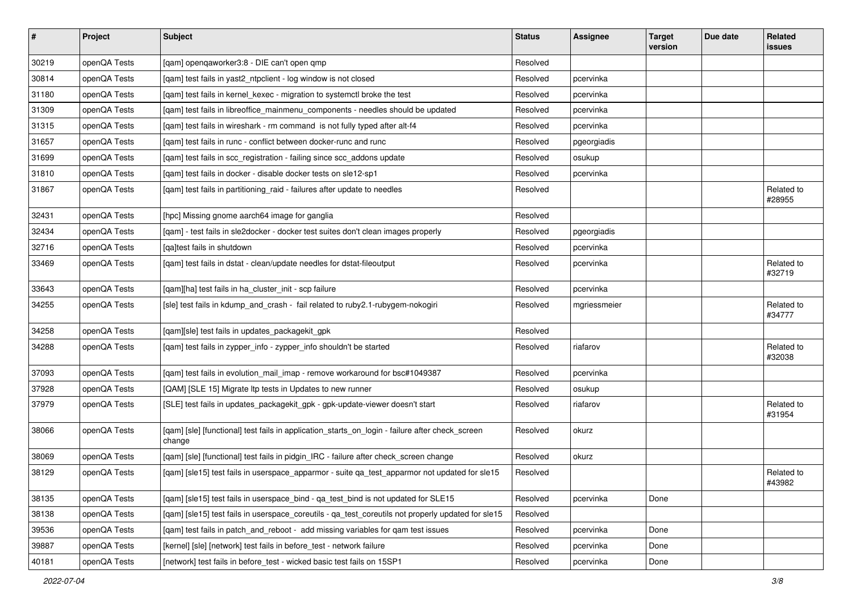| $\sharp$ | Project      | Subject                                                                                                   | <b>Status</b> | Assignee     | <b>Target</b><br>version | Due date | Related<br>issues    |
|----------|--------------|-----------------------------------------------------------------------------------------------------------|---------------|--------------|--------------------------|----------|----------------------|
| 30219    | openQA Tests | [qam] openqaworker3:8 - DIE can't open qmp                                                                | Resolved      |              |                          |          |                      |
| 30814    | openQA Tests | [qam] test fails in yast2_ntpclient - log window is not closed                                            | Resolved      | pcervinka    |                          |          |                      |
| 31180    | openQA Tests | [qam] test fails in kernel_kexec - migration to systemctl broke the test                                  | Resolved      | pcervinka    |                          |          |                      |
| 31309    | openQA Tests | [qam] test fails in libreoffice_mainmenu_components - needles should be updated                           | Resolved      | pcervinka    |                          |          |                      |
| 31315    | openQA Tests | [qam] test fails in wireshark - rm command is not fully typed after alt-f4                                | Resolved      | pcervinka    |                          |          |                      |
| 31657    | openQA Tests | [qam] test fails in runc - conflict between docker-runc and runc                                          | Resolved      | pgeorgiadis  |                          |          |                      |
| 31699    | openQA Tests | [qam] test fails in scc_registration - failing since scc_addons update                                    | Resolved      | osukup       |                          |          |                      |
| 31810    | openQA Tests | [qam] test fails in docker - disable docker tests on sle12-sp1                                            | Resolved      | pcervinka    |                          |          |                      |
| 31867    | openQA Tests | [qam] test fails in partitioning_raid - failures after update to needles                                  | Resolved      |              |                          |          | Related to<br>#28955 |
| 32431    | openQA Tests | [hpc] Missing gnome aarch64 image for ganglia                                                             | Resolved      |              |                          |          |                      |
| 32434    | openQA Tests | [qam] - test fails in sle2docker - docker test suites don't clean images properly                         | Resolved      | pgeorgiadis  |                          |          |                      |
| 32716    | openQA Tests | [qa]test fails in shutdown                                                                                | Resolved      | pcervinka    |                          |          |                      |
| 33469    | openQA Tests | [qam] test fails in dstat - clean/update needles for dstat-fileoutput                                     | Resolved      | pcervinka    |                          |          | Related to<br>#32719 |
| 33643    | openQA Tests | [qam][ha] test fails in ha_cluster_init - scp failure                                                     | Resolved      | pcervinka    |                          |          |                      |
| 34255    | openQA Tests | [sle] test fails in kdump_and_crash - fail related to ruby2.1-rubygem-nokogiri                            | Resolved      | mgriessmeier |                          |          | Related to<br>#34777 |
| 34258    | openQA Tests | [qam][sle] test fails in updates_packagekit_gpk                                                           | Resolved      |              |                          |          |                      |
| 34288    | openQA Tests | [qam] test fails in zypper_info - zypper_info shouldn't be started                                        | Resolved      | riafarov     |                          |          | Related to<br>#32038 |
| 37093    | openQA Tests | [qam] test fails in evolution_mail_imap - remove workaround for bsc#1049387                               | Resolved      | pcervinka    |                          |          |                      |
| 37928    | openQA Tests | [QAM] [SLE 15] Migrate Itp tests in Updates to new runner                                                 | Resolved      | osukup       |                          |          |                      |
| 37979    | openQA Tests | [SLE] test fails in updates_packagekit_gpk - gpk-update-viewer doesn't start                              | Resolved      | riafarov     |                          |          | Related to<br>#31954 |
| 38066    | openQA Tests | [qam] [sle] [functional] test fails in application_starts_on_login - failure after check_screen<br>change | Resolved      | okurz        |                          |          |                      |
| 38069    | openQA Tests | [qam] [sle] [functional] test fails in pidgin_IRC - failure after check_screen change                     | Resolved      | okurz        |                          |          |                      |
| 38129    | openQA Tests | [qam] [sle15] test fails in userspace_apparmor - suite qa_test_apparmor not updated for sle15             | Resolved      |              |                          |          | Related to<br>#43982 |
| 38135    | openQA Tests | [qam] [sle15] test fails in userspace_bind - qa_test_bind is not updated for SLE15                        | Resolved      | pcervinka    | Done                     |          |                      |
| 38138    | openQA Tests | [qam] [sle15] test fails in userspace_coreutils - qa_test_coreutils not properly updated for sle15        | Resolved      |              |                          |          |                      |
| 39536    | openQA Tests | [qam] test fails in patch_and_reboot - add missing variables for qam test issues                          | Resolved      | pcervinka    | Done                     |          |                      |
| 39887    | openQA Tests | [kernel] [sle] [network] test fails in before_test - network failure                                      | Resolved      | pcervinka    | Done                     |          |                      |
| 40181    | openQA Tests | [network] test fails in before_test - wicked basic test fails on 15SP1                                    | Resolved      | pcervinka    | Done                     |          |                      |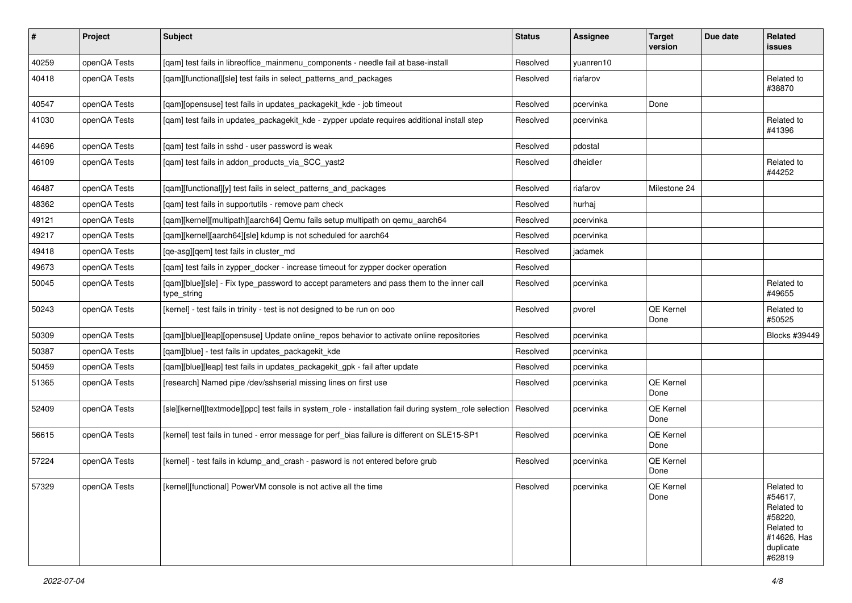| $\vert$ # | Project      | <b>Subject</b>                                                                                           | <b>Status</b> | <b>Assignee</b> | <b>Target</b><br>version | Due date | <b>Related</b><br>issues                                                                           |
|-----------|--------------|----------------------------------------------------------------------------------------------------------|---------------|-----------------|--------------------------|----------|----------------------------------------------------------------------------------------------------|
| 40259     | openQA Tests | [qam] test fails in libreoffice_mainmenu_components - needle fail at base-install                        | Resolved      | yuanren10       |                          |          |                                                                                                    |
| 40418     | openQA Tests | [qam][functional][sle] test fails in select_patterns_and_packages                                        | Resolved      | riafarov        |                          |          | Related to<br>#38870                                                                               |
| 40547     | openQA Tests | [qam][opensuse] test fails in updates_packagekit_kde - job timeout                                       | Resolved      | pcervinka       | Done                     |          |                                                                                                    |
| 41030     | openQA Tests | [qam] test fails in updates_packagekit_kde - zypper update requires additional install step              | Resolved      | pcervinka       |                          |          | Related to<br>#41396                                                                               |
| 44696     | openQA Tests | [qam] test fails in sshd - user password is weak                                                         | Resolved      | pdostal         |                          |          |                                                                                                    |
| 46109     | openQA Tests | [qam] test fails in addon_products_via_SCC_yast2                                                         | Resolved      | dheidler        |                          |          | Related to<br>#44252                                                                               |
| 46487     | openQA Tests | [qam][functional][y] test fails in select_patterns_and_packages                                          | Resolved      | riafarov        | Milestone 24             |          |                                                                                                    |
| 48362     | openQA Tests | [qam] test fails in supportutils - remove pam check                                                      | Resolved      | hurhaj          |                          |          |                                                                                                    |
| 49121     | openQA Tests | [qam][kernel][multipath][aarch64] Qemu fails setup multipath on qemu_aarch64                             | Resolved      | pcervinka       |                          |          |                                                                                                    |
| 49217     | openQA Tests | [qam][kernel][aarch64][sle] kdump is not scheduled for aarch64                                           | Resolved      | pcervinka       |                          |          |                                                                                                    |
| 49418     | openQA Tests | [qe-asg][qem] test fails in cluster_md                                                                   | Resolved      | jadamek         |                          |          |                                                                                                    |
| 49673     | openQA Tests | [qam] test fails in zypper_docker - increase timeout for zypper docker operation                         | Resolved      |                 |                          |          |                                                                                                    |
| 50045     | openQA Tests | [qam][blue][sle] - Fix type_password to accept parameters and pass them to the inner call<br>type_string | Resolved      | pcervinka       |                          |          | Related to<br>#49655                                                                               |
| 50243     | openQA Tests | [kernel] - test fails in trinity - test is not designed to be run on ooo                                 | Resolved      | pvorel          | QE Kernel<br>Done        |          | Related to<br>#50525                                                                               |
| 50309     | openQA Tests | [qam][blue][leap][opensuse] Update online_repos behavior to activate online repositories                 | Resolved      | pcervinka       |                          |          | Blocks #39449                                                                                      |
| 50387     | openQA Tests | [qam][blue] - test fails in updates_packagekit_kde                                                       | Resolved      | pcervinka       |                          |          |                                                                                                    |
| 50459     | openQA Tests | [qam][blue][leap] test fails in updates_packagekit_gpk - fail after update                               | Resolved      | pcervinka       |                          |          |                                                                                                    |
| 51365     | openQA Tests | [research] Named pipe /dev/sshserial missing lines on first use                                          | Resolved      | pcervinka       | QE Kernel<br>Done        |          |                                                                                                    |
| 52409     | openQA Tests | [sle][kernel][textmode][ppc] test fails in system_role - installation fail during system_role selection  | Resolved      | pcervinka       | QE Kernel<br>Done        |          |                                                                                                    |
| 56615     | openQA Tests | [kernel] test fails in tuned - error message for perf_bias failure is different on SLE15-SP1             | Resolved      | pcervinka       | QE Kernel<br>Done        |          |                                                                                                    |
| 57224     | openQA Tests | [kernel] - test fails in kdump_and_crash - pasword is not entered before grub                            | Resolved      | pcervinka       | QE Kernel<br>Done        |          |                                                                                                    |
| 57329     | openQA Tests | [kernel][functional] PowerVM console is not active all the time                                          | Resolved      | pcervinka       | QE Kernel<br>Done        |          | Related to<br>#54617,<br>Related to<br>#58220,<br>Related to<br>#14626, Has<br>duplicate<br>#62819 |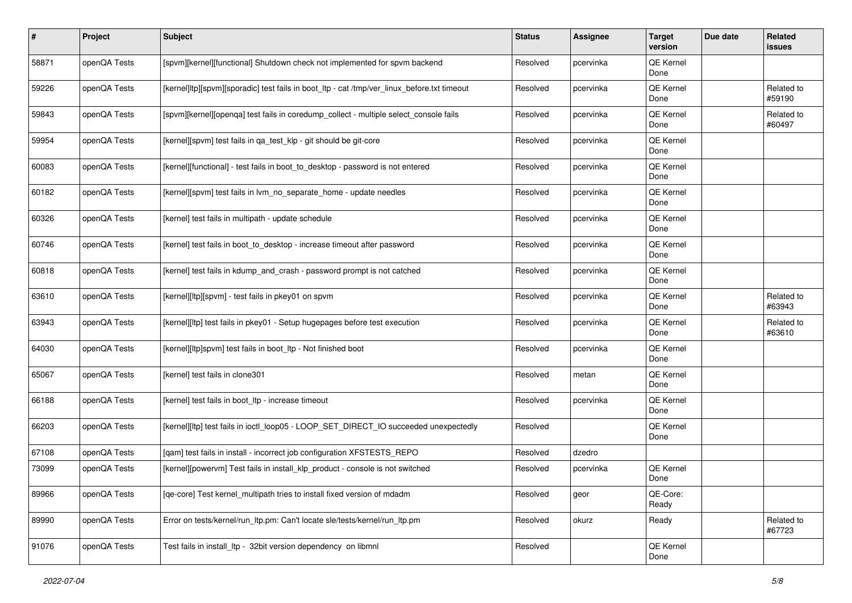| $\sharp$ | Project      | Subject                                                                                     | <b>Status</b> | Assignee  | <b>Target</b><br>version | Due date | <b>Related</b><br>issues |
|----------|--------------|---------------------------------------------------------------------------------------------|---------------|-----------|--------------------------|----------|--------------------------|
| 58871    | openQA Tests | [spvm][kernel][functional] Shutdown check not implemented for spvm backend                  | Resolved      | pcervinka | QE Kernel<br>Done        |          |                          |
| 59226    | openQA Tests | [kernel]ltp][spvm][sporadic] test fails in boot_ltp - cat /tmp/ver_linux_before.txt timeout | Resolved      | pcervinka | QE Kernel<br>Done        |          | Related to<br>#59190     |
| 59843    | openQA Tests | [spvm][kernel][openqa] test fails in coredump_collect - multiple select_console fails       | Resolved      | pcervinka | QE Kernel<br>Done        |          | Related to<br>#60497     |
| 59954    | openQA Tests | [kernel][spvm] test fails in qa_test_klp - git should be git-core                           | Resolved      | pcervinka | QE Kernel<br>Done        |          |                          |
| 60083    | openQA Tests | [kernel][functional] - test fails in boot_to_desktop - password is not entered              | Resolved      | pcervinka | QE Kernel<br>Done        |          |                          |
| 60182    | openQA Tests | [kernel][spvm] test fails in lvm_no_separate_home - update needles                          | Resolved      | pcervinka | QE Kernel<br>Done        |          |                          |
| 60326    | openQA Tests | [kernel] test fails in multipath - update schedule                                          | Resolved      | pcervinka | QE Kernel<br>Done        |          |                          |
| 60746    | openQA Tests | [kernel] test fails in boot_to_desktop - increase timeout after password                    | Resolved      | pcervinka | QE Kernel<br>Done        |          |                          |
| 60818    | openQA Tests | [kernel] test fails in kdump_and_crash - password prompt is not catched                     | Resolved      | pcervinka | QE Kernel<br>Done        |          |                          |
| 63610    | openQA Tests | [kernel][ltp][spvm] - test fails in pkey01 on spvm                                          | Resolved      | pcervinka | QE Kernel<br>Done        |          | Related to<br>#63943     |
| 63943    | openQA Tests | [kernel][ltp] test fails in pkey01 - Setup hugepages before test execution                  | Resolved      | pcervinka | QE Kernel<br>Done        |          | Related to<br>#63610     |
| 64030    | openQA Tests | [kernel][ltp]spvm] test fails in boot_ltp - Not finished boot                               | Resolved      | pcervinka | QE Kernel<br>Done        |          |                          |
| 65067    | openQA Tests | [kernel] test fails in clone301                                                             | Resolved      | metan     | QE Kernel<br>Done        |          |                          |
| 66188    | openQA Tests | [kernel] test fails in boot_ltp - increase timeout                                          | Resolved      | pcervinka | QE Kernel<br>Done        |          |                          |
| 66203    | openQA Tests | [kernel][ltp] test fails in ioctl_loop05 - LOOP_SET_DIRECT_IO succeeded unexpectedly        | Resolved      |           | QE Kernel<br>Done        |          |                          |
| 67108    | openQA Tests | [qam] test fails in install - incorrect job configuration XFSTESTS_REPO                     | Resolved      | dzedro    |                          |          |                          |
| 73099    | openQA Tests | [kernel][powervm] Test fails in install_klp_product - console is not switched               | Resolved      | pcervinka | QE Kernel<br>Done        |          |                          |
| 89966    | openQA Tests | [qe-core] Test kernel_multipath tries to install fixed version of mdadm                     | Resolved      | geor      | QE-Core:<br>Ready        |          |                          |
| 89990    | openQA Tests | Error on tests/kernel/run ltp.pm: Can't locate sle/tests/kernel/run ltp.pm                  | Resolved      | okurz     | Ready                    |          | Related to<br>#67723     |
| 91076    | openQA Tests | Test fails in install_ltp - 32bit version dependency on libmnl                              | Resolved      |           | QE Kernel<br>Done        |          |                          |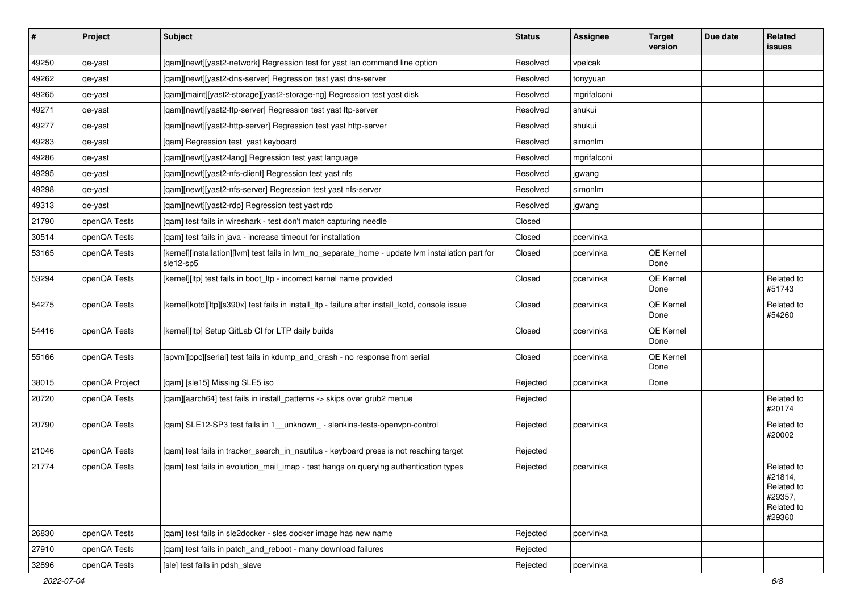| $\sharp$ | Project        | <b>Subject</b>                                                                                                 | <b>Status</b> | <b>Assignee</b> | <b>Target</b><br>version | Due date | <b>Related</b><br>issues                                               |
|----------|----------------|----------------------------------------------------------------------------------------------------------------|---------------|-----------------|--------------------------|----------|------------------------------------------------------------------------|
| 49250    | qe-yast        | [qam][newt][yast2-network] Regression test for yast lan command line option                                    | Resolved      | vpelcak         |                          |          |                                                                        |
| 49262    | qe-yast        | [gam][newt][yast2-dns-server] Regression test yast dns-server                                                  | Resolved      | tonyyuan        |                          |          |                                                                        |
| 49265    | qe-yast        | [qam][maint][yast2-storage][yast2-storage-ng] Regression test yast disk                                        | Resolved      | mgrifalconi     |                          |          |                                                                        |
| 49271    | qe-yast        | [qam][newt][yast2-ftp-server] Regression test yast ftp-server                                                  | Resolved      | shukui          |                          |          |                                                                        |
| 49277    | qe-yast        | [qam][newt][yast2-http-server] Regression test yast http-server                                                | Resolved      | shukui          |                          |          |                                                                        |
| 49283    | qe-yast        | [qam] Regression test yast keyboard                                                                            | Resolved      | simonlm         |                          |          |                                                                        |
| 49286    | qe-yast        | [qam][newt][yast2-lang] Regression test yast language                                                          | Resolved      | mgrifalconi     |                          |          |                                                                        |
| 49295    | qe-yast        | [qam][newt][yast2-nfs-client] Regression test yast nfs                                                         | Resolved      | jgwang          |                          |          |                                                                        |
| 49298    | qe-yast        | [qam][newt][yast2-nfs-server] Regression test yast nfs-server                                                  | Resolved      | simonlm         |                          |          |                                                                        |
| 49313    | qe-yast        | [qam][newt][yast2-rdp] Regression test yast rdp                                                                | Resolved      | jgwang          |                          |          |                                                                        |
| 21790    | openQA Tests   | [gam] test fails in wireshark - test don't match capturing needle                                              | Closed        |                 |                          |          |                                                                        |
| 30514    | openQA Tests   | [qam] test fails in java - increase timeout for installation                                                   | Closed        | pcervinka       |                          |          |                                                                        |
| 53165    | openQA Tests   | [kernel][installation][lvm] test fails in lvm_no_separate_home - update lvm installation part for<br>sle12-sp5 | Closed        | pcervinka       | QE Kernel<br>Done        |          |                                                                        |
| 53294    | openQA Tests   | [kernel][ltp] test fails in boot_ltp - incorrect kernel name provided                                          | Closed        | pcervinka       | QE Kernel<br>Done        |          | Related to<br>#51743                                                   |
| 54275    | openQA Tests   | [kernel]kotd][ltp][s390x] test fails in install_ltp - failure after install_kotd, console issue                | Closed        | pcervinka       | QE Kernel<br>Done        |          | Related to<br>#54260                                                   |
| 54416    | openQA Tests   | [kernel][ltp] Setup GitLab CI for LTP daily builds                                                             | Closed        | pcervinka       | QE Kernel<br>Done        |          |                                                                        |
| 55166    | openQA Tests   | [spvm][ppc][serial] test fails in kdump_and_crash - no response from serial                                    | Closed        | pcervinka       | QE Kernel<br>Done        |          |                                                                        |
| 38015    | openQA Project | [qam] [sle15] Missing SLE5 iso                                                                                 | Rejected      | pcervinka       | Done                     |          |                                                                        |
| 20720    | openQA Tests   | [qam][aarch64] test fails in install_patterns -> skips over grub2 menue                                        | Rejected      |                 |                          |          | Related to<br>#20174                                                   |
| 20790    | openQA Tests   | [qam] SLE12-SP3 test fails in 1_unknown_ - slenkins-tests-openvpn-control                                      | Rejected      | pcervinka       |                          |          | Related to<br>#20002                                                   |
| 21046    | openQA Tests   | [qam] test fails in tracker_search_in_nautilus - keyboard press is not reaching target                         | Rejected      |                 |                          |          |                                                                        |
| 21774    | openQA Tests   | [qam] test fails in evolution_mail_imap - test hangs on querying authentication types                          | Rejected      | pcervinka       |                          |          | Related to<br>#21814,<br>Related to<br>#29357,<br>Related to<br>#29360 |
| 26830    | openQA Tests   | [qam] test fails in sle2docker - sles docker image has new name                                                | Rejected      | pcervinka       |                          |          |                                                                        |
| 27910    | openQA Tests   | [gam] test fails in patch and reboot - many download failures                                                  | Rejected      |                 |                          |          |                                                                        |
| 32896    | openQA Tests   | [sle] test fails in pdsh_slave                                                                                 | Rejected      | pcervinka       |                          |          |                                                                        |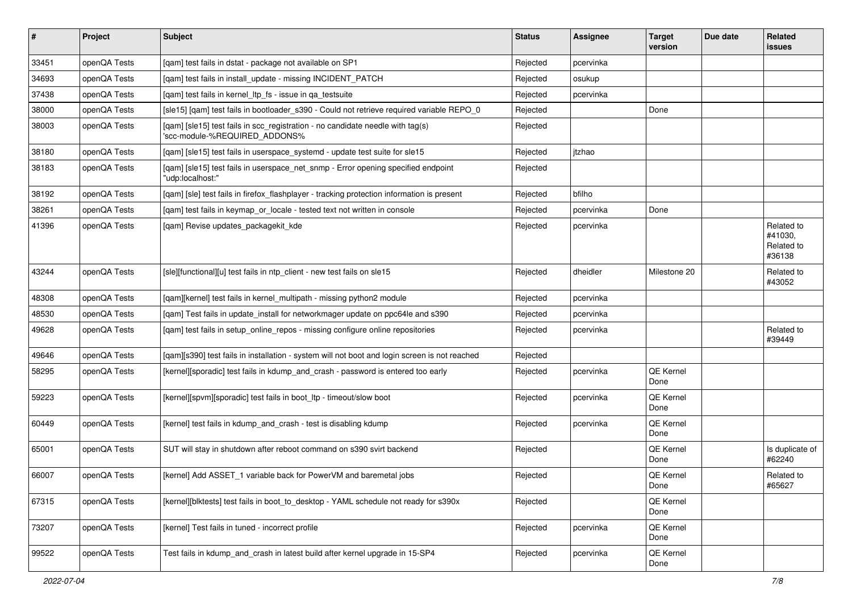| $\sharp$ | Project      | <b>Subject</b>                                                                                                  | <b>Status</b> | <b>Assignee</b> | <b>Target</b><br>version | Due date | <b>Related</b><br>issues                      |
|----------|--------------|-----------------------------------------------------------------------------------------------------------------|---------------|-----------------|--------------------------|----------|-----------------------------------------------|
| 33451    | openQA Tests | [gam] test fails in dstat - package not available on SP1                                                        | Rejected      | pcervinka       |                          |          |                                               |
| 34693    | openQA Tests | [gam] test fails in install update - missing INCIDENT PATCH                                                     | Rejected      | osukup          |                          |          |                                               |
| 37438    | openQA Tests | [gam] test fails in kernel Itp fs - issue in ga testsuite                                                       | Rejected      | pcervinka       |                          |          |                                               |
| 38000    | openQA Tests | [sle15] [qam] test fails in bootloader_s390 - Could not retrieve required variable REPO_0                       | Rejected      |                 | Done                     |          |                                               |
| 38003    | openQA Tests | [qam] [sle15] test fails in scc_registration - no candidate needle with tag(s)<br>'scc-module-%REQUIRED_ADDONS% | Rejected      |                 |                          |          |                                               |
| 38180    | openQA Tests | [gam] [sle15] test fails in userspace systemd - update test suite for sle15                                     | Rejected      | itzhao          |                          |          |                                               |
| 38183    | openQA Tests | [qam] [sle15] test fails in userspace_net_snmp - Error opening specified endpoint<br>"udp:localhost:"           | Rejected      |                 |                          |          |                                               |
| 38192    | openQA Tests | [qam] [sle] test fails in firefox_flashplayer - tracking protection information is present                      | Rejected      | bfilho          |                          |          |                                               |
| 38261    | openQA Tests | [qam] test fails in keymap_or_locale - tested text not written in console                                       | Rejected      | pcervinka       | Done                     |          |                                               |
| 41396    | openQA Tests | [qam] Revise updates_packagekit_kde                                                                             | Rejected      | pcervinka       |                          |          | Related to<br>#41030,<br>Related to<br>#36138 |
| 43244    | openQA Tests | [sle][functional][u] test fails in ntp_client - new test fails on sle15                                         | Rejected      | dheidler        | Milestone 20             |          | Related to<br>#43052                          |
| 48308    | openQA Tests | [gam][kernel] test fails in kernel multipath - missing python2 module                                           | Rejected      | pcervinka       |                          |          |                                               |
| 48530    | openQA Tests | [qam] Test fails in update_install for networkmager update on ppc64le and s390                                  | Rejected      | pcervinka       |                          |          |                                               |
| 49628    | openQA Tests | [qam] test fails in setup_online_repos - missing configure online repositories                                  | Rejected      | pcervinka       |                          |          | Related to<br>#39449                          |
| 49646    | openQA Tests | [qam][s390] test fails in installation - system will not boot and login screen is not reached                   | Rejected      |                 |                          |          |                                               |
| 58295    | openQA Tests | [kernel][sporadic] test fails in kdump_and_crash - password is entered too early                                | Rejected      | pcervinka       | QE Kernel<br>Done        |          |                                               |
| 59223    | openQA Tests | [kernel][spvm][sporadic] test fails in boot_ltp - timeout/slow boot                                             | Rejected      | pcervinka       | <b>QE Kernel</b><br>Done |          |                                               |
| 60449    | openQA Tests | [kernel] test fails in kdump_and_crash - test is disabling kdump                                                | Rejected      | pcervinka       | QE Kernel<br>Done        |          |                                               |
| 65001    | openQA Tests | SUT will stay in shutdown after reboot command on s390 svirt backend                                            | Rejected      |                 | <b>QE Kernel</b><br>Done |          | Is duplicate of<br>#62240                     |
| 66007    | openQA Tests | [kernel] Add ASSET_1 variable back for PowerVM and baremetal jobs                                               | Rejected      |                 | QE Kernel<br>Done        |          | Related to<br>#65627                          |
| 67315    | openQA Tests | [kernel][blktests] test fails in boot_to_desktop - YAML schedule not ready for s390x                            | Rejected      |                 | QE Kernel<br>Done        |          |                                               |
| 73207    | openQA Tests | [kernel] Test fails in tuned - incorrect profile                                                                | Rejected      | pcervinka       | QE Kernel<br>Done        |          |                                               |
| 99522    | openQA Tests | Test fails in kdump_and_crash in latest build after kernel upgrade in 15-SP4                                    | Rejected      | pcervinka       | QE Kernel<br>Done        |          |                                               |